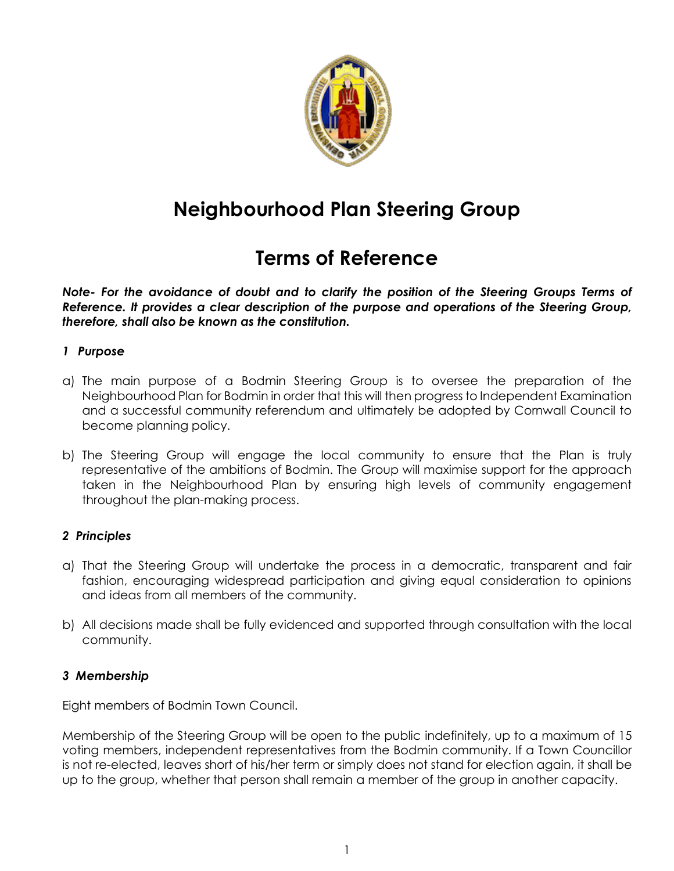

# **Neighbourhood Plan Steering Group**

## **Terms of Reference**

*Note- For the avoidance of doubt and to clarify the position of the Steering Groups Terms of Reference. It provides a clear description of the purpose and operations of the Steering Group, therefore, shall also be known as the constitution.* 

## *1 Purpose*

- a) The main purpose of a Bodmin Steering Group is to oversee the preparation of the Neighbourhood Plan for Bodmin in order that this will then progress to Independent Examination and a successful community referendum and ultimately be adopted by Cornwall Council to become planning policy.
- b) The Steering Group will engage the local community to ensure that the Plan is truly representative of the ambitions of Bodmin. The Group will maximise support for the approach taken in the Neighbourhood Plan by ensuring high levels of community engagement throughout the plan-making process.

## *2 Principles*

- a) That the Steering Group will undertake the process in a democratic, transparent and fair fashion, encouraging widespread participation and giving equal consideration to opinions and ideas from all members of the community.
- b) All decisions made shall be fully evidenced and supported through consultation with the local community.

## *3 Membership*

Eight members of Bodmin Town Council.

Membership of the Steering Group will be open to the public indefinitely, up to a maximum of 15 voting members, independent representatives from the Bodmin community. If a Town Councillor is not re-elected, leaves short of his/her term or simply does not stand for election again, it shall be up to the group, whether that person shall remain a member of the group in another capacity.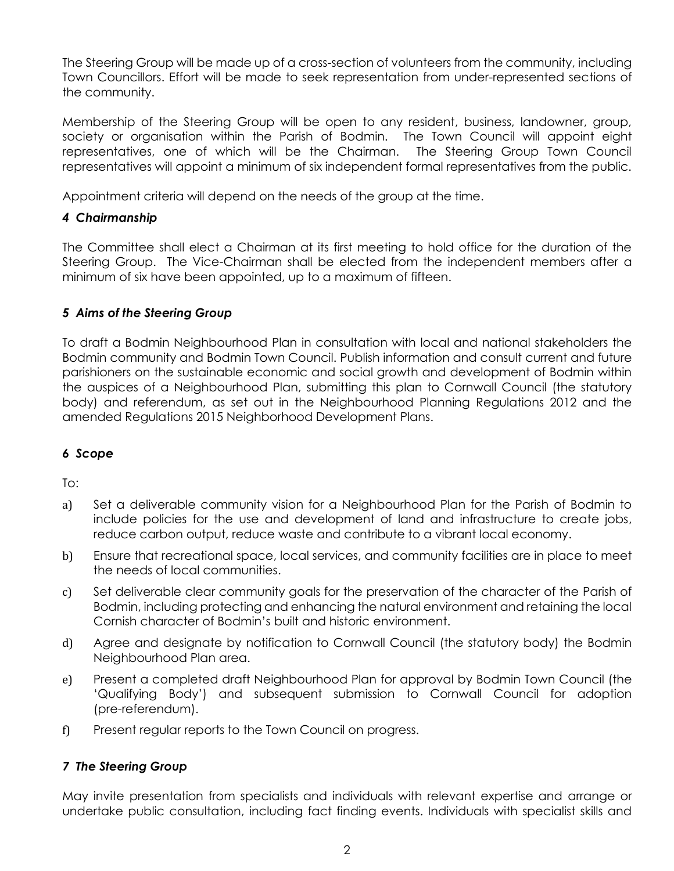The Steering Group will be made up of a cross-section of volunteers from the community, including Town Councillors. Effort will be made to seek representation from under-represented sections of the community.

Membership of the Steering Group will be open to any resident, business, landowner, group, society or organisation within the Parish of Bodmin. The Town Council will appoint eight representatives, one of which will be the Chairman. The Steering Group Town Council representatives will appoint a minimum of six independent formal representatives from the public.

Appointment criteria will depend on the needs of the group at the time.

## *4 Chairmanship*

The Committee shall elect a Chairman at its first meeting to hold office for the duration of the Steering Group. The Vice-Chairman shall be elected from the independent members after a minimum of six have been appointed, up to a maximum of fifteen.

## *5 Aims of the Steering Group*

To draft a Bodmin Neighbourhood Plan in consultation with local and national stakeholders the Bodmin community and Bodmin Town Council. Publish information and consult current and future parishioners on the sustainable economic and social growth and development of Bodmin within the auspices of a Neighbourhood Plan, submitting this plan to Cornwall Council (the statutory body) and referendum, as set out in the Neighbourhood Planning Regulations 2012 and the amended Regulations 2015 Neighborhood Development Plans.

## *6 Scope*

To:

- a) Set a deliverable community vision for a Neighbourhood Plan for the Parish of Bodmin to include policies for the use and development of land and infrastructure to create jobs, reduce carbon output, reduce waste and contribute to a vibrant local economy.
- b) Ensure that recreational space, local services, and community facilities are in place to meet the needs of local communities.
- c) Set deliverable clear community goals for the preservation of the character of the Parish of Bodmin, including protecting and enhancing the natural environment and retaining the local Cornish character of Bodmin's built and historic environment.
- d) Agree and designate by notification to Cornwall Council (the statutory body) the Bodmin Neighbourhood Plan area.
- e) Present a completed draft Neighbourhood Plan for approval by Bodmin Town Council (the 'Qualifying Body') and subsequent submission to Cornwall Council for adoption (pre-referendum).
- f) Present regular reports to the Town Council on progress.

## *7 The Steering Group*

May invite presentation from specialists and individuals with relevant expertise and arrange or undertake public consultation, including fact finding events. Individuals with specialist skills and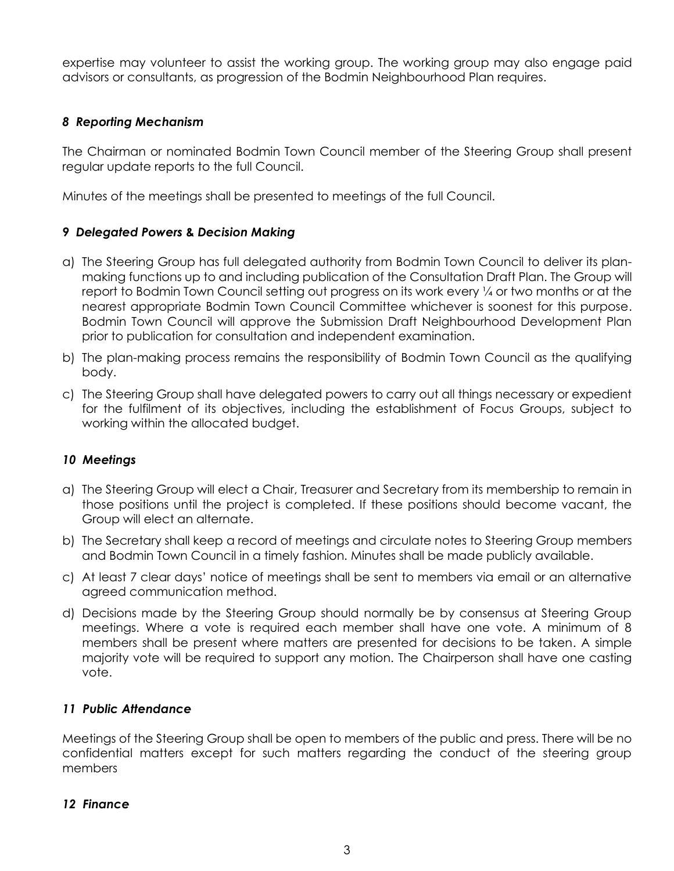expertise may volunteer to assist the working group. The working group may also engage paid advisors or consultants, as progression of the Bodmin Neighbourhood Plan requires.

## *8 Reporting Mechanism*

The Chairman or nominated Bodmin Town Council member of the Steering Group shall present regular update reports to the full Council.

Minutes of the meetings shall be presented to meetings of the full Council.

## *9 Delegated Powers* **&** *Decision Making*

- a) The Steering Group has full delegated authority from Bodmin Town Council to deliver its planmaking functions up to and including publication of the Consultation Draft Plan. The Group will report to Bodmin Town Council setting out progress on its work every 1/4 or two months or at the nearest appropriate Bodmin Town Council Committee whichever is soonest for this purpose. Bodmin Town Council will approve the Submission Draft Neighbourhood Development Plan prior to publication for consultation and independent examination.
- b) The plan-making process remains the responsibility of Bodmin Town Council as the qualifying body.
- c) The Steering Group shall have delegated powers to carry out all things necessary or expedient for the fulfilment of its objectives, including the establishment of Focus Groups, subject to working within the allocated budget.

## *10 Meetings*

- a) The Steering Group will elect a Chair, Treasurer and Secretary from its membership to remain in those positions until the project is completed. If these positions should become vacant, the Group will elect an alternate.
- b) The Secretary shall keep a record of meetings and circulate notes to Steering Group members and Bodmin Town Council in a timely fashion. Minutes shall be made publicly available.
- c) At least 7 clear days' notice of meetings shall be sent to members via email or an alternative agreed communication method.
- d) Decisions made by the Steering Group should normally be by consensus at Steering Group meetings. Where a vote is required each member shall have one vote. A minimum of 8 members shall be present where matters are presented for decisions to be taken. A simple majority vote will be required to support any motion. The Chairperson shall have one casting vote.

## *11 Public Attendance*

Meetings of the Steering Group shall be open to members of the public and press. There will be no confidential matters except for such matters regarding the conduct of the steering group members

## *12 Finance*